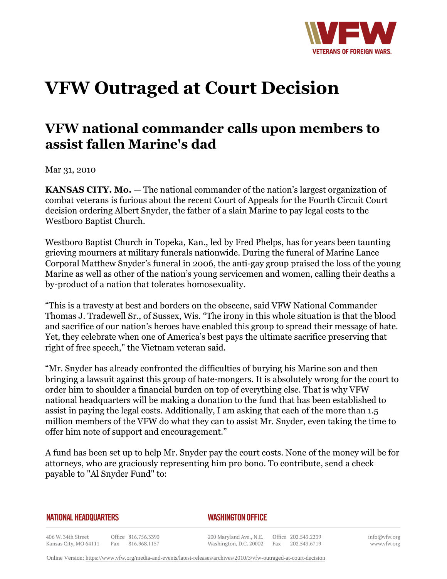

## **VFW Outraged at Court Decision**

## **VFW national commander calls upon members to assist fallen Marine's dad**

Mar 31, 2010

**KANSAS CITY. Mo.** — The national commander of the nation's largest organization of combat veterans is furious about the recent Court of Appeals for the Fourth Circuit Court decision ordering Albert Snyder, the father of a slain Marine to pay legal costs to the Westboro Baptist Church.

Westboro Baptist Church in Topeka, Kan., led by Fred Phelps, has for years been taunting grieving mourners at military funerals nationwide. During the funeral of Marine Lance Corporal Matthew Snyder's funeral in 2006, the anti-gay group praised the loss of the young Marine as well as other of the nation's young servicemen and women, calling their deaths a by-product of a nation that tolerates homosexuality.

"This is a travesty at best and borders on the obscene, said VFW National Commander Thomas J. Tradewell Sr., of Sussex, Wis. "The irony in this whole situation is that the blood and sacrifice of our nation's heroes have enabled this group to spread their message of hate. Yet, they celebrate when one of America's best pays the ultimate sacrifice preserving that right of free speech," the Vietnam veteran said.

"Mr. Snyder has already confronted the difficulties of burying his Marine son and then bringing a lawsuit against this group of hate-mongers. It is absolutely wrong for the court to order him to shoulder a financial burden on top of everything else. That is why VFW national headquarters will be making a donation to the fund that has been established to assist in paying the legal costs. Additionally, I am asking that each of the more than 1.5 million members of the VFW do what they can to assist Mr. Snyder, even taking the time to offer him note of support and encouragement."

A fund has been set up to help Mr. Snyder pay the court costs. None of the money will be for attorneys, who are graciously representing him pro bono. To contribute, send a check payable to "Al Snyder Fund" to:

## **NATIONAL HEADQUARTERS**

## *WASHINGTON OFFICE*

406 W. 34th Street Office 816.756.3390 Fax 816.968.1157 Kansas City, MO 64111

200 Maryland Ave., N.E. Washington, D.C. 20002 Fax 202.543.6719

Office 202.543.2239

info@vfw.org www.vfw.org

Online Version:<https://www.vfw.org/media-and-events/latest-releases/archives/2010/3/vfw-outraged-at-court-decision>